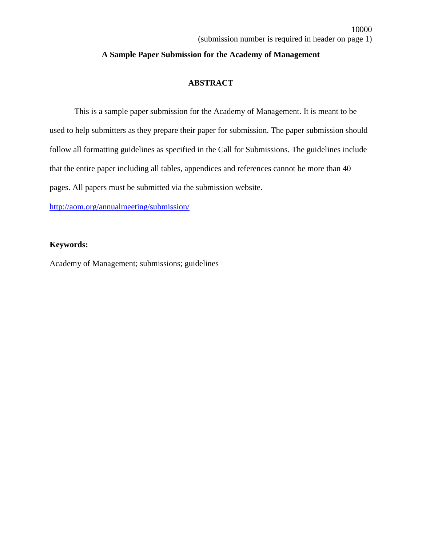10000

#### **A Sample Paper Submission for the Academy of Management**

### **ABSTRACT**

This is a sample paper submission for the Academy of Management. It is meant to be used to help submitters as they prepare their paper for submission. The paper submission should follow all formatting guidelines as specified in the Call for Submissions. The guidelines include that the entire paper including all tables, appendices and references cannot be more than 40 pages. All papers must be submitted via the submission website.

<http://aom.org/annualmeeting/submission/>

#### **Keywords:**

Academy of Management; submissions; guidelines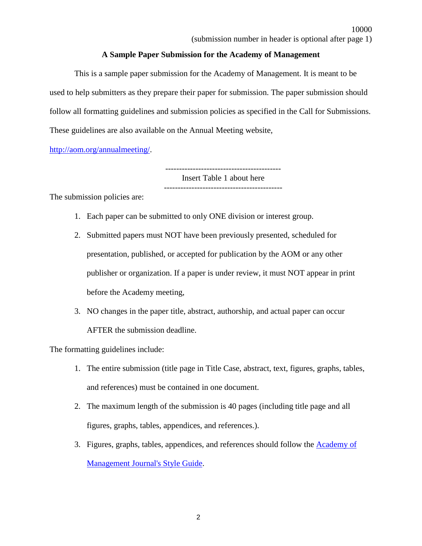#### **A Sample Paper Submission for the Academy of Management**

This is a sample paper submission for the Academy of Management. It is meant to be used to help submitters as they prepare their paper for submission. The paper submission should follow all formatting guidelines and submission policies as specified in the Call for Submissions. These guidelines are also available on the Annual Meeting website,

[http://aom.org/annualmeeting/.](http://aom.org/annualmeeting/)

------------------------------------------ Insert Table 1 about here -------------------------------------------

The submission policies are:

- 1. Each paper can be submitted to only ONE division or interest group.
- 2. Submitted papers must NOT have been previously presented, scheduled for presentation, published, or accepted for publication by the AOM or any other publisher or organization. If a paper is under review, it must NOT appear in print before the Academy meeting,
- 3. NO changes in the paper title, abstract, authorship, and actual paper can occur AFTER the submission deadline.

The formatting guidelines include:

- 1. The entire submission (title page in Title Case, abstract, text, figures, graphs, tables, and references) must be contained in one document.
- 2. The maximum length of the submission is 40 pages (including title page and all figures, graphs, tables, appendices, and references.).
- 3. Figures, graphs, tables, appendices, and references should follow the [Academy of](http://aom.org/publications/amj/styleguide/)  [Management Journal's Style Guide.](http://aom.org/publications/amj/styleguide/)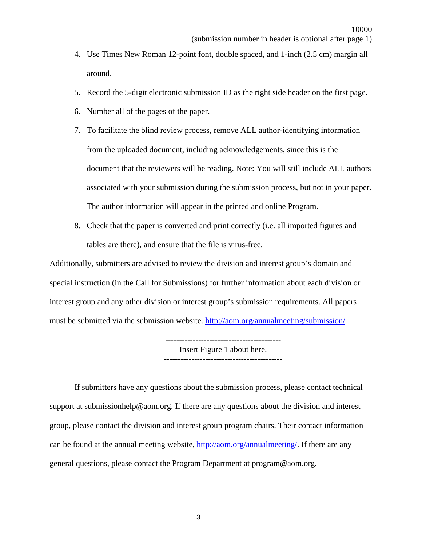- 4. Use Times New Roman 12-point font, double spaced, and 1-inch (2.5 cm) margin all around.
- 5. Record the 5-digit electronic submission ID as the right side header on the first page.
- 6. Number all of the pages of the paper.
- 7. To facilitate the blind review process, remove ALL author-identifying information from the uploaded document, including acknowledgements, since this is the document that the reviewers will be reading. Note: You will still include ALL authors associated with your submission during the submission process, but not in your paper. The author information will appear in the printed and online Program.
- 8. Check that the paper is converted and print correctly (i.e. all imported figures and tables are there), and ensure that the file is virus-free.

Additionally, submitters are advised to review the division and interest group's domain and special instruction (in the Call for Submissions) for further information about each division or interest group and any other division or interest group's submission requirements. All papers must be submitted via the submission website. <http://aom.org/annualmeeting/submission/>

> ------------------------------------------ Insert Figure 1 about here. -------------------------------------------

If submitters have any questions about the submission process, please contact technical support at submissionhelp@aom.org. If there are any questions about the division and interest group, please contact the division and interest group program chairs. Their contact information can be found at the annual meeting website, [http://aom.org/annualmeeting/.](http://aom.org/annualmeeting/) If there are any general questions, please contact the Program Department at program@aom.org.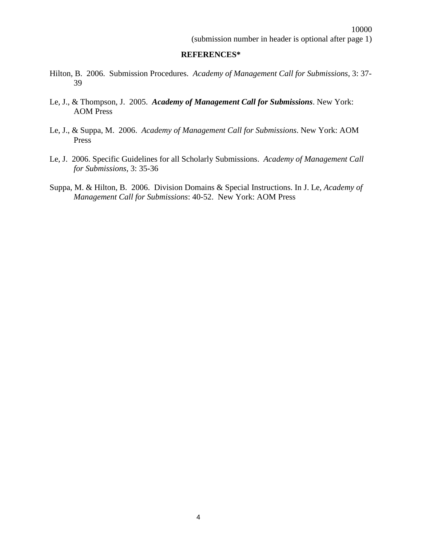#### **REFERENCES\***

- Hilton, B. 2006. Submission Procedures. *Academy of Management Call for Submissions*, 3: 37- 39
- Le, J., & Thompson, J. 2005. *Academy of Management Call for Submissions*. New York: AOM Press
- Le, J., & Suppa, M. 2006. *Academy of Management Call for Submissions*. New York: AOM Press
- Le, J. 2006. Specific Guidelines for all Scholarly Submissions. *Academy of Management Call for Submissions*, 3: 35-36
- Suppa, M. & Hilton, B. 2006. Division Domains & Special Instructions. In J. Le, *Academy of Management Call for Submissions*: 40-52. New York: AOM Press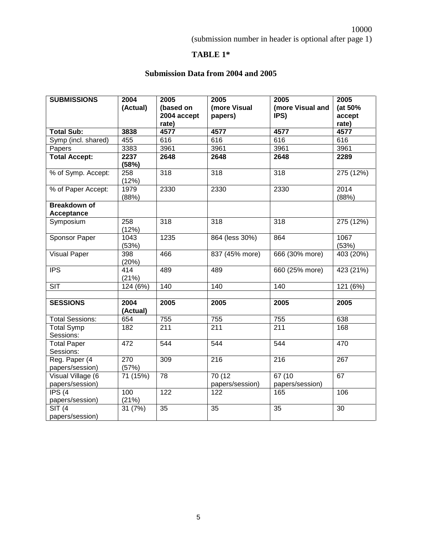# **TABLE 1\***

# **Submission Data from 2004 and 2005**

| <b>SUBMISSIONS</b>                   | 2004<br>(Actual)      | 2005<br>(based on    | 2005<br>(more Visual      | 2005<br>(more Visual and  | 2005<br>(at 50% |
|--------------------------------------|-----------------------|----------------------|---------------------------|---------------------------|-----------------|
|                                      |                       | 2004 accept<br>rate) | papers)                   | IPS)                      | accept<br>rate) |
| <b>Total Sub:</b>                    | 3838                  | 4577                 | 4577                      | 4577                      | 4577            |
| Symp (incl. shared)                  | 455                   | 616                  | 616                       | 616                       | 616             |
| Papers                               | 3383                  | 3961                 | 3961                      | 3961                      | 3961            |
| <b>Total Accept:</b>                 | 2237<br>(58%)         | 2648                 | 2648                      | 2648                      | 2289            |
| % of Symp. Accept:                   | 258<br>(12%)          | $\overline{318}$     | $\overline{318}$          | $\overline{318}$          | 275 (12%)       |
| % of Paper Accept:                   | 1979<br>(88%)         | 2330                 | 2330                      | 2330                      | 2014<br>(88%)   |
| <b>Breakdown of</b><br>Acceptance    |                       |                      |                           |                           |                 |
| Symposium                            | 258<br>(12%)          | 318                  | 318                       | 318                       | 275 (12%)       |
| <b>Sponsor Paper</b>                 | 1043<br>(53%)         | 1235                 | 864 (less 30%)            | 864                       | 1067<br>(53%)   |
| <b>Visual Paper</b>                  | 398<br>(20%)          | 466                  | 837 (45% more)            | 666 (30% more)            | 403 (20%)       |
| $\overline{IPS}$                     | 414<br>(21%)          | 489                  | 489                       | 660 (25% more)            | 423 (21%)       |
| $\overline{\text{SIT}}$              | $\overline{124}$ (6%) | 140                  | $\overline{140}$          | 140                       | 121 (6%)        |
|                                      |                       |                      |                           |                           |                 |
| <b>SESSIONS</b>                      | 2004<br>(Actual)      | 2005                 | 2005                      | 2005                      | 2005            |
| <b>Total Sessions:</b>               | 654                   | 755                  | 755                       | 755                       | 638             |
| <b>Total Symp</b><br>Sessions:       | 182                   | 211                  | $\overline{211}$          | 211                       | 168             |
| <b>Total Paper</b><br>Sessions:      | 472                   | 544                  | 544                       | 544                       | 470             |
| Reg. Paper (4<br>papers/session)     | 270<br>(57%)          | 309                  | $\overline{216}$          | $\overline{216}$          | 267             |
| Visual Village (6<br>papers/session) | 71 (15%)              | 78                   | 70 (12<br>papers/session) | 67 (10<br>papers/session) | 67              |
| IPS (4)<br>papers/session)           | 100<br>(21%)          | 122                  | 122                       | 165                       | 106             |
| <b>SIT (4</b><br>papers/session)     | 31 (7%)               | 35                   | 35                        | 35                        | 30              |